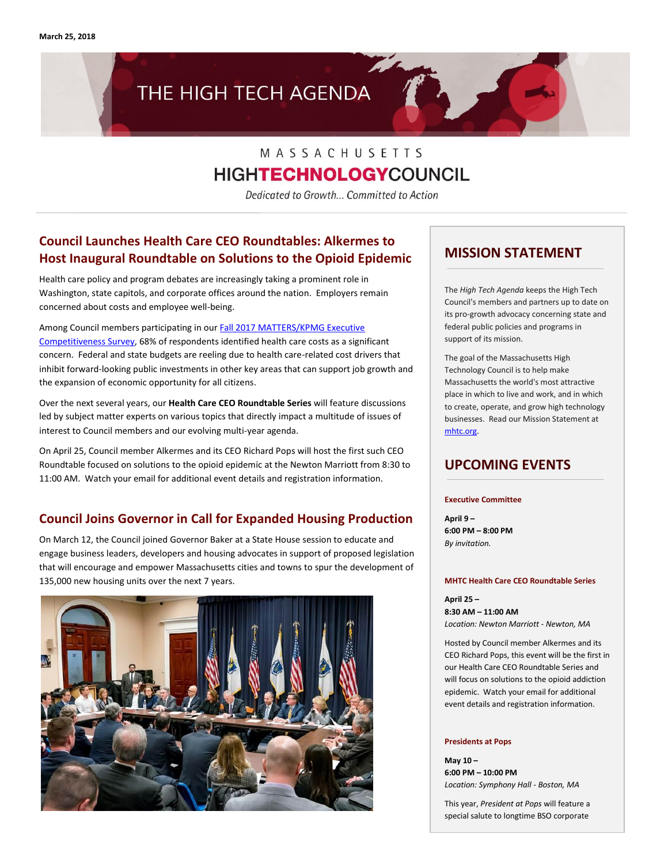**March 25, 2018**

# THE HIGH TECH AGENDA

# MASSACHUSETTS **HIGHTECHNOLOGY**COUNCIL

Dedicated to Growth... Committed to Action

# **Council Launches Health Care CEO Roundtables: Alkermes to Host Inaugural Roundtable on Solutions to the Opioid Epidemic**

Health care policy and program debates are increasingly taking a prominent role in Washington, state capitols, and corporate offices around the nation. Employers remain concerned about costs and employee well-being.

Among Council members participating in ou[r Fall 2017 MATTERS/KPMG Executive](http://matters.mhtc.org/resources/MATTERS_Executive_Competitiveness_Insight_Survey_Fall_2017.pdf)  [Competitiveness Survey,](http://matters.mhtc.org/resources/MATTERS_Executive_Competitiveness_Insight_Survey_Fall_2017.pdf) 68% of respondents identified health care costs as a significant concern. Federal and state budgets are reeling due to health care-related cost drivers that inhibit forward-looking public investments in other key areas that can support job growth and the expansion of economic opportunity for all citizens.

Over the next several years, our **Health Care CEO Roundtable Series** will feature discussions led by subject matter experts on various topics that directly impact a multitude of issues of interest to Council members and our evolving multi-year agenda.

On April 25, Council member Alkermes and its CEO Richard Pops will host the first such CEO Roundtable focused on solutions to the opioid epidemic at the Newton Marriott from 8:30 to 11:00 AM. Watch your email for additional event details and registration information.

# **Council Joins Governor in Call for Expanded Housing Production**

On March 12, the Council joined Governor Baker at a State House session to educate and engage business leaders, developers and housing advocates in support of proposed legislation that will encourage and empower Massachusetts cities and towns to spur the development of 135,000 new housing units over the next 7 years.



## **MISSION STATEMENT**

The *High Tech Agenda* keeps the High Tech Council's members and partners up to date on its pro-growth advocacy concerning state and federal public policies and programs in support of its mission.

The goal of the Massachusetts High Technology Council is to help make Massachusetts the world's most attractive place in which to live and work, and in which to create, operate, and grow high technology businesses. Read our Mission Statement at [mhtc.org.](http://www.mhtc.org/)

## **UPCOMING EVENTS**

**Executive Committee**

**April 9 – 6:00 PM – 8:00 PM** *By invitation.*

#### **MHTC Health Care CEO Roundtable Series**

**April 25 – 8:30 AM – 11:00 AM** *Location: Newton Marriott - Newton, MA*

Hosted by Council member Alkermes and its CEO Richard Pops, this event will be the first in our Health Care CEO Roundtable Series and will focus on solutions to the opioid addiction epidemic. Watch your email for additional event details and registration information.

#### **Presidents at Pops**

**May 10 – 6:00 PM – 10:00 PM** *Location: Symphony Hall - Boston, MA*

This year, *President at Pops* will feature a special salute to longtime BSO corporate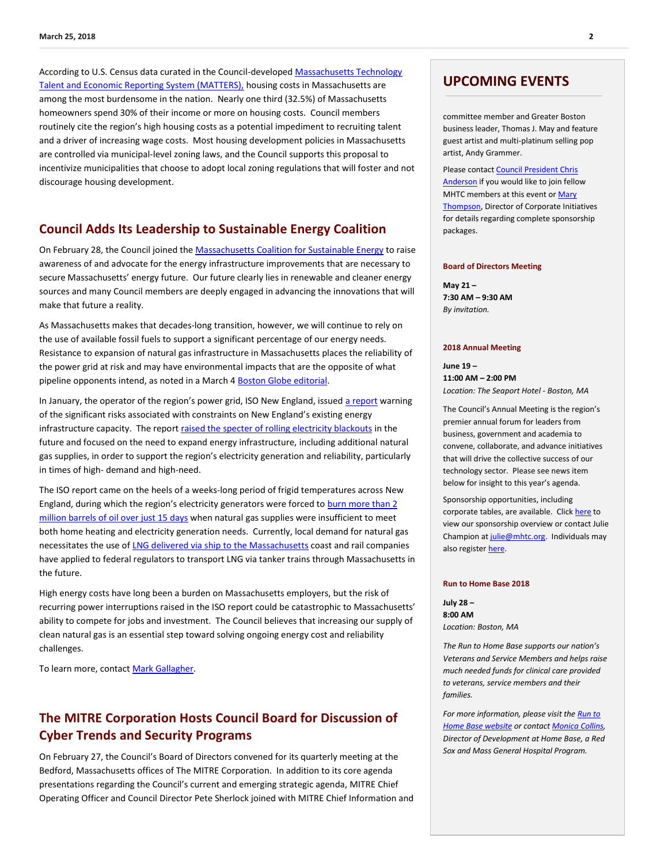According to U.S. Census data curated in the Council-develope[d Massachusetts Technology](http://matters.mhtc.org/)  [Talent and Economic Reporting System \(MATTERS\),](http://matters.mhtc.org/) housing costs in Massachusetts are among the most burdensome in the nation. Nearly one third (32.5%) of Massachusetts homeowners spend 30% of their income or more on housing costs. Council members routinely cite the region's high housing costs as a potential impediment to recruiting talent and a driver of increasing wage costs. Most housing development policies in Massachusetts are controlled via municipal-level zoning laws, and the Council supports this proposal to incentivize municipalities that choose to adopt local zoning regulations that will foster and not discourage housing development.

### **Council Adds Its Leadership to Sustainable Energy Coalition**

On February 28, the Council joined th[e Massachusetts Coalition for Sustainable Energy](https://massforenergy.org/) to raise awareness of and advocate for the energy infrastructure improvements that are necessary to secure Massachusetts' energy future. Our future clearly lies in renewable and cleaner energy sources and many Council members are deeply engaged in advancing the innovations that will make that future a reality.

As Massachusetts makes that decades-long transition, however, we will continue to rely on the use of available fossil fuels to support a significant percentage of our energy needs. Resistance to expansion of natural gas infrastructure in Massachusetts places the reliability of the power grid at risk and may have environmental impacts that are the opposite of what pipeline opponents intend, as noted in a March 4 [Boston Globe editorial.](http://www.mhtc.org/wp-content/uploads/2018/03/BostonGlobe_Editorial_GasByTrain_03042018.pdf)

In January, the operator of the region's power grid, ISO New England, issued [a report](https://www.iso-ne.com/static-assets/documents/2018/01/20180117_operational_fuel-security_analysis.pdf) warning of the significant risks associated with constraints on New England's existing energy infrastructure capacity. The report [raised the specter of rolling electricity blackouts](http://www.mhtc.org/wp-content/uploads/2018/03/BostonGlobe_TalkingPoints_NewEnglandCouldBeInTheDark_Chesto_01192018.pdf) in the future and focused on the need to expand energy infrastructure, including additional natural gas supplies, in order to support the region's electricity generation and reliability, particularly in times of high- demand and high-need.

The ISO report came on the heels of a weeks-long period of frigid temperatures across New England, during which the region's electricity generators were forced to [burn more than 2](https://commonwealthmagazine.org/energy/generators-burned-2m-barrels-oil-15-days/)  [million barrels of oil over just 15 days](https://commonwealthmagazine.org/energy/generators-burned-2m-barrels-oil-15-days/) when natural gas supplies were insufficient to meet both home heating and electricity generation needs. Currently, local demand for natural gas necessitates the use o[f LNG delivered via ship to the Massachusetts](http://www.mhtc.org/wp-content/uploads/2018/03/WSJ_NewEnglandHasaPowerProblem_AilworthKamp_02232018.pdf) coast and rail companies have applied to federal regulators to transport LNG via tanker trains through Massachusetts in the future.

High energy costs have long been a burden on Massachusetts employers, but the risk of recurring power interruptions raised in the ISO report could be catastrophic to Massachusetts' ability to compete for jobs and investment. The Council believes that increasing our supply of clean natural gas is an essential step toward solving ongoing energy cost and reliability challenges.

To learn more, contac[t Mark Gallagher.](mailto:mark@mhtc.org)

# **The MITRE Corporation Hosts Council Board for Discussion of Cyber Trends and Security Programs**

On February 27, the Council's Board of Directors convened for its quarterly meeting at the Bedford, Massachusetts offices of The MITRE Corporation. In addition to its core agenda presentations regarding the Council's current and emerging strategic agenda, MITRE Chief Operating Officer and Council Director Pete Sherlock joined with MITRE Chief Information and

### **UPCOMING EVENTS**

committee member and Greater Boston business leader, Thomas J. May and feature guest artist and multi-platinum selling pop artist, Andy Grammer.

Please contac[t Council President Chris](mailto:chris@mhtc.org?subject=MHTC%20-%20Presidents%20at%20Pops)  [Anderson](mailto:chris@mhtc.org?subject=MHTC%20-%20Presidents%20at%20Pops) if you would like to join fellow MHTC members at this event or Mary [Thompson,](mailto:mthomson@bso.org?subject=Presidents%20at%20Pops%20-%20MHTC%20Inquiry) Director of Corporate Initiatives for details regarding complete sponsorship packages.

#### **Board of Directors Meeting**

**May 21 – 7:30 AM – 9:30 AM** *By invitation.*

#### **2018 Annual Meeting**

**June 19 – 11:00 AM – 2:00 PM** *Location: The Seaport Hotel - Boston, MA*

The Council's Annual Meeting is the region's premier annual forum for leaders from business, government and academia to convene, collaborate, and advance initiatives that will drive the collective success of our technology sector. Please see news item below for insight to this year's agenda.

Sponsorship opportunities, including corporate tables, are available. Clic[k here](http://www.mhtc.org/wp-content/uploads/2018/03/2018-Annual-Meeting-_SponsorshipOpportunities.pdf) to view our sponsorship overview or contact Julie Champion a[t julie@mhtc.org.](mailto:julie@mhtc.org) Individuals may also register here.

#### **Run to Home Base 2018**

**July 28 – 8:00 AM** *Location: Boston, MA*

*The Run to Home Base supports our nation's Veterans and Service Members and helps raise much needed funds for clinical care provided to veterans, service members and their families.* 

*For more information, please visit th[e Run to](http://www.runtohomebase.org/)  [Home Base website](http://www.runtohomebase.org/) or contac[t Monica Collins,](http://mail%20to:mmcollins2@partners.org/)  Director of Development at Home Base, a Red Sox and Mass General Hospital Program.*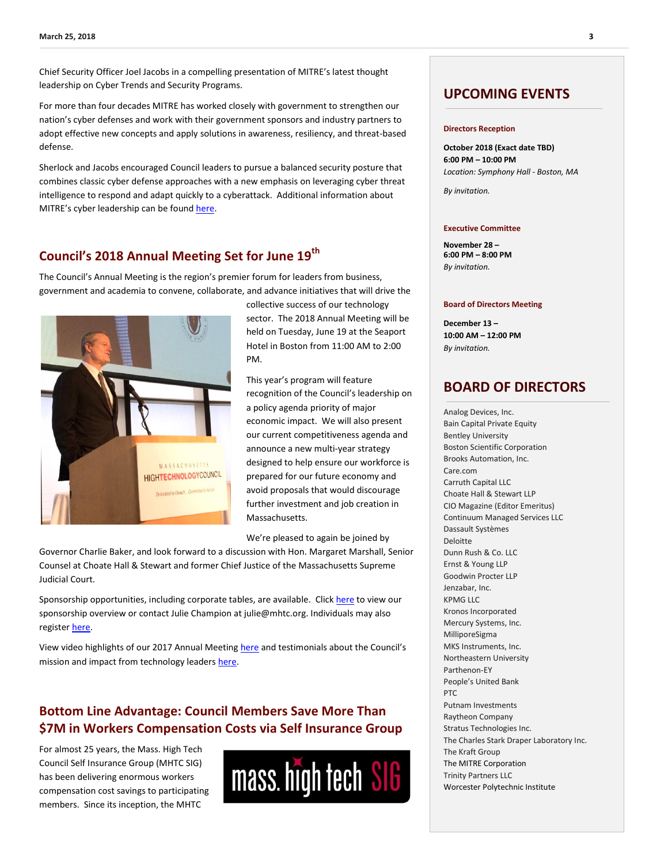Chief Security Officer Joel Jacobs in a compelling presentation of MITRE's latest thought leadership on Cyber Trends and Security Programs.

For more than four decades MITRE has worked closely with government to strengthen our nation's cyber defenses and work with their government sponsors and industry partners to adopt effective new concepts and apply solutions in awareness, resiliency, and threat-based defense.

Sherlock and Jacobs encouraged Council leaders to pursue a balanced security posture that combines classic cyber defense approaches with a new emphasis on leveraging cyber threat intelligence to respond and adapt quickly to a cyberattack. Additional information about MITRE's cyber leadership can be found [here.](https://www.mitre.org/capabilities/cybersecurity/overview?category=all)

# **Council's 2018 Annual Meeting Set for June 19th**

The Council's Annual Meeting is the region's premier forum for leaders from business, government and academia to convene, collaborate, and advance initiatives that will drive the



collective success of our technology sector. The 2018 Annual Meeting will be held on Tuesday, June 19 at the Seaport Hotel in Boston from 11:00 AM to 2:00 PM.

This year's program will feature recognition of the Council's leadership on a policy agenda priority of major economic impact. We will also present our current competitiveness agenda and announce a new multi-year strategy designed to help ensure our workforce is prepared for our future economy and avoid proposals that would discourage further investment and job creation in Massachusetts.

We're pleased to again be joined by

Governor Charlie Baker, and look forward to a discussion with Hon. Margaret Marshall, Senior Counsel at Choate Hall & Stewart and former Chief Justice of the Massachusetts Supreme Judicial Court.

Sponsorship opportunities, including corporate tables, are available. Clic[k here](http://www.mhtc.org/wp-content/uploads/2018/03/2018-Annual-Meeting-_SponsorshipOpportunities.pdf) to view our sponsorship overview or contact Julie Champion at julie@mhtc.org. Individuals may also register [here.](https://mhtc-events-2018annualmeeting-06192018.eventbrite.com/)

View video highlights of our 2017 Annual Meetin[g here](https://vimeo.com/223335837) and testimonials about the Council's mission and impact from technology leaders [here.](https://vimeo.com/165928914)

## **Bottom Line Advantage: Council Members Save More Than \$7M in Workers Compensation Costs via Self Insurance Group**

For almost 25 years, the Mass. High Tech Council Self Insurance Group (MHTC SIG) has been delivering enormous workers compensation cost savings to participating members. Since its inception, the MHTC



### **UPCOMING EVENTS**

#### **Directors Reception**

**October 2018 (Exact date TBD) 6:00 PM – 10:00 PM** *Location: Symphony Hall - Boston, MA* 

*By invitation.*

#### **Executive Committee**

**November 28 – 6:00 PM – 8:00 PM** *By invitation.*

#### **Board of Directors Meeting**

**December 13 – 10:00 AM – 12:00 PM** *By invitation.*

### **BOARD OF DIRECTORS**

Analog Devices, Inc. Bain Capital Private Equity Bentley University Boston Scientific Corporation Brooks Automation, Inc. Care.com Carruth Capital LLC Choate Hall & Stewart LLP CIO Magazine (Editor Emeritus) Continuum Managed Services LLC Dassault Systèmes Deloitte Dunn Rush & Co. LLC Ernst & Young LLP Goodwin Procter LLP Jenzabar, Inc. KPMG LLC Kronos Incorporated Mercury Systems, Inc. MilliporeSigma MKS Instruments, Inc. Northeastern University Parthenon-EY People's United Bank PTC Putnam Investments Raytheon Company Stratus Technologies Inc. The Charles Stark Draper Laboratory Inc. The Kraft Group The MITRE Corporation Trinity Partners LLC Worcester Polytechnic Institute